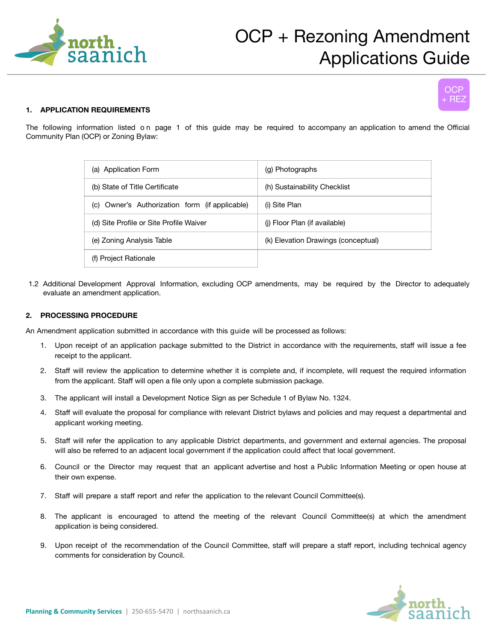



## **1. APPLICATION REQUIREMENTS**

The following information listed on page 1 of this guide may be required to accompany an application to amend the Official Community Plan (OCP) or Zoning Bylaw:

| (a) Application Form                           | (g) Photographs                     |
|------------------------------------------------|-------------------------------------|
| (b) State of Title Certificate                 | (h) Sustainability Checklist        |
| (c) Owner's Authorization form (if applicable) | (i) Site Plan                       |
| (d) Site Profile or Site Profile Waiver        | (i) Floor Plan (if available)       |
| (e) Zoning Analysis Table                      | (k) Elevation Drawings (conceptual) |
| (f) Project Rationale                          |                                     |

1.2 Additional Development Approval Information, excluding OCP amendments, may be required by the Director to adequately evaluate an amendment application.

## **2. PROCESSING PROCEDURE**

An Amendment application submitted in accordance with this guide will be processed as follows:

- 1. Upon receipt of an application package submitted to the District in accordance with the requirements, staff will issue a fee receipt to the applicant.
- 2. Staff will review the application to determine whether it is complete and, if incomplete, will request the required information from the applicant. Staff will open a file only upon a complete submission package.
- 3. The applicant will install a Development Notice Sign as per Schedule 1 of Bylaw No. 1324.
- 4. Staff will evaluate the proposal for compliance with relevant District bylaws and policies and may request a departmental and applicant working meeting.
- 5. Staff will refer the application to any applicable District departments, and government and external agencies. The proposal will also be referred to an adjacent local government if the application could affect that local government.
- 6. Council or the Director may request that an applicant advertise and host a Public Information Meeting or open house at their own expense.
- 7. Staff will prepare a staff report and refer the application to the relevant Council Committee(s).
- 8. The applicant is encouraged to attend the meeting of the relevant Council Committee(s) at which the amendment application is being considered.
- 9. Upon receipt of the recommendation of the Council Committee, staff will prepare a staff report, including technical agency comments for consideration by Council.